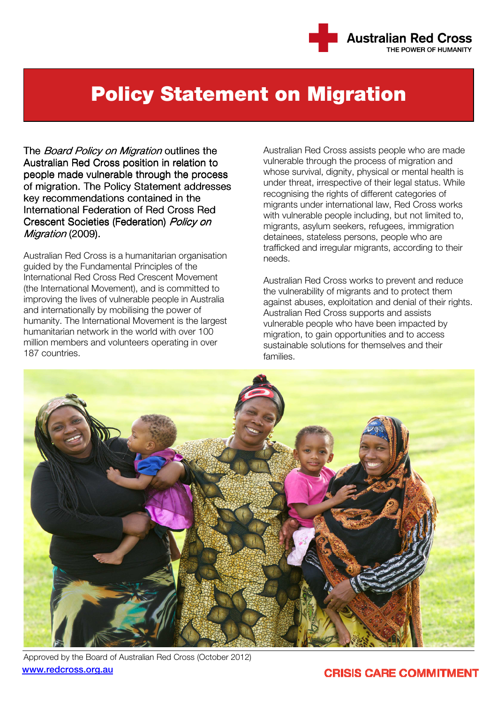

# Policy Statement on Migration

The *Board Policy on Migration* outlines the Australian Red Cross position in relation to people made vulnerable through the process of migration. The Policy Statement addresses key recommendations contained in the International Federation of Red Cross Red Crescent Societies (Federation) Policy on Migration (2009).

Australian Red Cross is a humanitarian organisation guided by the Fundamental Principles of the International Red Cross Red Crescent Movement (the International Movement), and is committed to improving the lives of vulnerable people in Australia and internationally by mobilising the power of humanity. The International Movement is the largest humanitarian network in the world with over 100 million members and volunteers operating in over 187 countries.

Australian Red Cross assists people who are made vulnerable through the process of migration and whose survival, dignity, physical or mental health is under threat, irrespective of their legal status. While recognising the rights of different categories of migrants under international law, Red Cross works with vulnerable people including, but not limited to, migrants, asylum seekers, refugees, immigration detainees, stateless persons, people who are trafficked and irregular migrants, according to their needs.

Australian Red Cross works to prevent and reduce the vulnerability of migrants and to protect them against abuses, exploitation and denial of their rights. Australian Red Cross supports and assists vulnerable people who have been impacted by migration, to gain opportunities and to access sustainable solutions for themselves and their families.



Approved by the Board of Australian Red Cross (October 2012) www.redcross.org.au

# **CRISIS CARE COMMITMENT**